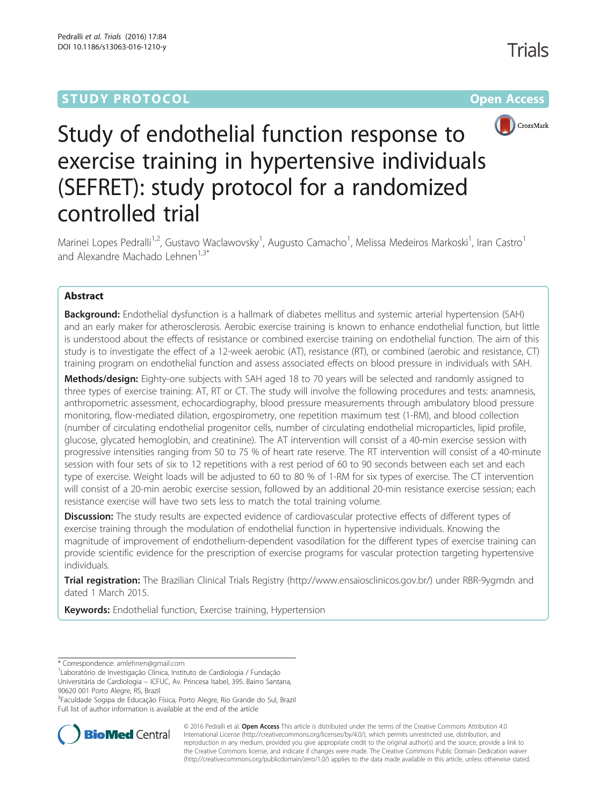# **STUDY PROTOCOL CONSUMING THE RESERVE ACCESS**



# Study of endothelial function response to exercise training in hypertensive individuals (SEFRET): study protocol for a randomized controlled trial

Marinei Lopes Pedralli<sup>1,2</sup>, Gustavo Waclawovsky<sup>1</sup>, Augusto Camacho<sup>1</sup>, Melissa Medeiros Markoski<sup>1</sup>, Iran Castro<sup>1</sup> and Alexandre Machado Lehnen<sup>1,3\*</sup>

# Abstract

Background: Endothelial dysfunction is a hallmark of diabetes mellitus and systemic arterial hypertension (SAH) and an early maker for atherosclerosis. Aerobic exercise training is known to enhance endothelial function, but little is understood about the effects of resistance or combined exercise training on endothelial function. The aim of this study is to investigate the effect of a 12-week aerobic (AT), resistance (RT), or combined (aerobic and resistance, CT) training program on endothelial function and assess associated effects on blood pressure in individuals with SAH.

Methods/design: Eighty-one subjects with SAH aged 18 to 70 years will be selected and randomly assigned to three types of exercise training: AT, RT or CT. The study will involve the following procedures and tests: anamnesis, anthropometric assessment, echocardiography, blood pressure measurements through ambulatory blood pressure monitoring, flow-mediated dilation, ergospirometry, one repetition maximum test (1-RM), and blood collection (number of circulating endothelial progenitor cells, number of circulating endothelial microparticles, lipid profile, glucose, glycated hemoglobin, and creatinine). The AT intervention will consist of a 40-min exercise session with progressive intensities ranging from 50 to 75 % of heart rate reserve. The RT intervention will consist of a 40-minute session with four sets of six to 12 repetitions with a rest period of 60 to 90 seconds between each set and each type of exercise. Weight loads will be adjusted to 60 to 80 % of 1-RM for six types of exercise. The CT intervention will consist of a 20-min aerobic exercise session, followed by an additional 20-min resistance exercise session; each resistance exercise will have two sets less to match the total training volume.

Discussion: The study results are expected evidence of cardiovascular protective effects of different types of exercise training through the modulation of endothelial function in hypertensive individuals. Knowing the magnitude of improvement of endothelium-dependent vasodilation for the different types of exercise training can provide scientific evidence for the prescription of exercise programs for vascular protection targeting hypertensive individuals.

Trial registration: The Brazilian Clinical Trials Registry (http://www.ensaiosclinicos.gov.br/) under RBR-9ygmdn and dated 1 March 2015.

Keywords: Endothelial function, Exercise training, Hypertension

<sup>3</sup> Faculdade Sogipa de Educação Física, Porto Alegre, Rio Grande do Sul, Brazil Full list of author information is available at the end of the article



© 2016 Pedralli et al. Open Access This article is distributed under the terms of the Creative Commons Attribution 4.0 International License (http://creativecommons.org/licenses/by/4.0/), which permits unrestricted use, distribution, and reproduction in any medium, provided you give appropriate credit to the original author(s) and the source, provide a link to the Creative Commons license, and indicate if changes were made. The Creative Commons Public Domain Dedication waiver (http://creativecommons.org/publicdomain/zero/1.0/) applies to the data made available in this article, unless otherwise stated.

<sup>\*</sup> Correspondence: amlehnen@gmail.com <sup>1</sup>

Laboratório de Investigação Clínica, Instituto de Cardiologia / Fundação Universitária de Cardiologia – ICFUC, Av. Princesa Isabel, 395. Bairro Santana,

<sup>90620 001</sup> Porto Alegre, RS, Brazil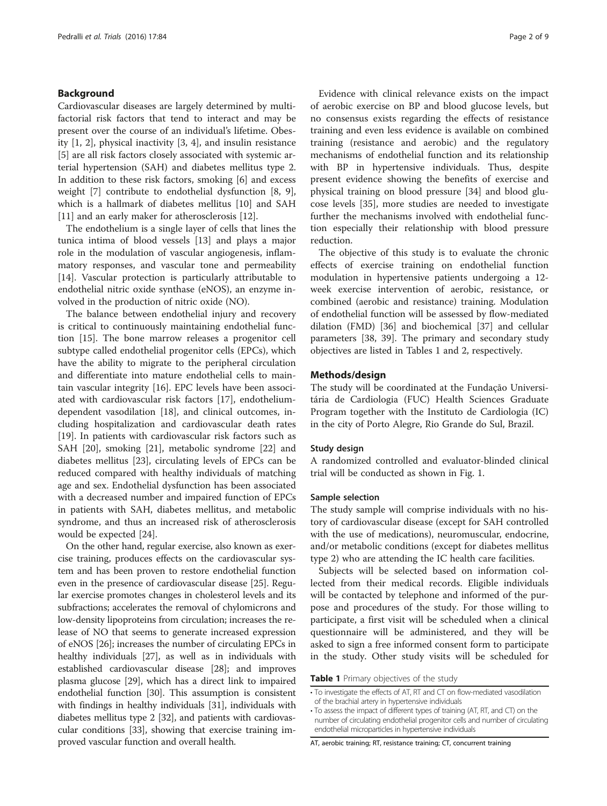#### Background

Cardiovascular diseases are largely determined by multifactorial risk factors that tend to interact and may be present over the course of an individual's lifetime. Obesity [1, 2], physical inactivity [3, 4], and insulin resistance [5] are all risk factors closely associated with systemic arterial hypertension (SAH) and diabetes mellitus type 2. In addition to these risk factors, smoking [6] and excess weight [7] contribute to endothelial dysfunction [8, 9], which is a hallmark of diabetes mellitus [10] and SAH [11] and an early maker for atherosclerosis [12].

The endothelium is a single layer of cells that lines the tunica intima of blood vessels [13] and plays a major role in the modulation of vascular angiogenesis, inflammatory responses, and vascular tone and permeability [14]. Vascular protection is particularly attributable to endothelial nitric oxide synthase (eNOS), an enzyme involved in the production of nitric oxide (NO).

The balance between endothelial injury and recovery is critical to continuously maintaining endothelial function [15]. The bone marrow releases a progenitor cell subtype called endothelial progenitor cells (EPCs), which have the ability to migrate to the peripheral circulation and differentiate into mature endothelial cells to maintain vascular integrity [16]. EPC levels have been associated with cardiovascular risk factors [17], endotheliumdependent vasodilation [18], and clinical outcomes, including hospitalization and cardiovascular death rates [19]. In patients with cardiovascular risk factors such as SAH [20], smoking [21], metabolic syndrome [22] and diabetes mellitus [23], circulating levels of EPCs can be reduced compared with healthy individuals of matching age and sex. Endothelial dysfunction has been associated with a decreased number and impaired function of EPCs in patients with SAH, diabetes mellitus, and metabolic syndrome, and thus an increased risk of atherosclerosis would be expected [24].

On the other hand, regular exercise, also known as exercise training, produces effects on the cardiovascular system and has been proven to restore endothelial function even in the presence of cardiovascular disease [25]. Regular exercise promotes changes in cholesterol levels and its subfractions; accelerates the removal of chylomicrons and low-density lipoproteins from circulation; increases the release of NO that seems to generate increased expression of eNOS [26]; increases the number of circulating EPCs in healthy individuals [27], as well as in individuals with established cardiovascular disease [28]; and improves plasma glucose [29], which has a direct link to impaired endothelial function [30]. This assumption is consistent with findings in healthy individuals [31], individuals with diabetes mellitus type 2 [32], and patients with cardiovascular conditions [33], showing that exercise training improved vascular function and overall health.

Evidence with clinical relevance exists on the impact of aerobic exercise on BP and blood glucose levels, but no consensus exists regarding the effects of resistance training and even less evidence is available on combined training (resistance and aerobic) and the regulatory mechanisms of endothelial function and its relationship with BP in hypertensive individuals. Thus, despite present evidence showing the benefits of exercise and physical training on blood pressure [34] and blood glucose levels [35], more studies are needed to investigate further the mechanisms involved with endothelial function especially their relationship with blood pressure reduction.

The objective of this study is to evaluate the chronic effects of exercise training on endothelial function modulation in hypertensive patients undergoing a 12 week exercise intervention of aerobic, resistance, or combined (aerobic and resistance) training. Modulation of endothelial function will be assessed by flow-mediated dilation (FMD) [36] and biochemical [37] and cellular parameters [38, 39]. The primary and secondary study objectives are listed in Tables 1 and 2, respectively.

#### Methods/design

The study will be coordinated at the Fundação Universitária de Cardiologia (FUC) Health Sciences Graduate Program together with the Instituto de Cardiologia (IC) in the city of Porto Alegre, Rio Grande do Sul, Brazil.

#### Study design

A randomized controlled and evaluator-blinded clinical trial will be conducted as shown in Fig. 1.

#### Sample selection

The study sample will comprise individuals with no history of cardiovascular disease (except for SAH controlled with the use of medications), neuromuscular, endocrine, and/or metabolic conditions (except for diabetes mellitus type 2) who are attending the IC health care facilities.

Subjects will be selected based on information collected from their medical records. Eligible individuals will be contacted by telephone and informed of the purpose and procedures of the study. For those willing to participate, a first visit will be scheduled when a clinical questionnaire will be administered, and they will be asked to sign a free informed consent form to participate in the study. Other study visits will be scheduled for

Table 1 Primary objectives of the study

<sup>•</sup> To investigate the effects of AT, RT and CT on flow-mediated vasodilation of the brachial artery in hypertensive individuals

<sup>•</sup> To assess the impact of different types of training (AT, RT, and CT) on the number of circulating endothelial progenitor cells and number of circulating endothelial microparticles in hypertensive individuals

AT, aerobic training; RT, resistance training; CT, concurrent training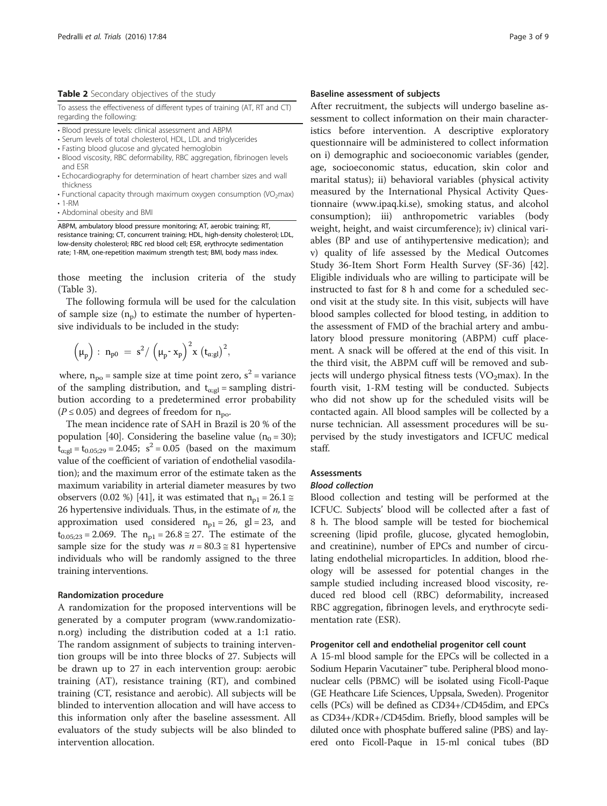#### Table 2 Secondary objectives of the study

To assess the effectiveness of different types of training (AT, RT and CT) regarding the following

- Blood pressure levels: clinical assessment and ABPM
- Serum levels of total cholesterol, HDL, LDL and triglycerides
- Fasting blood glucose and glycated hemoglobin
- Blood viscosity, RBC deformability, RBC aggregation, fibrinogen levels and ESR
- Echocardiography for determination of heart chamber sizes and wall thickness
- Functional capacity through maximum oxygen consumption (VO<sub>2</sub>max) • 1-RM
- Abdominal obesity and BMI

ABPM, ambulatory blood pressure monitoring; AT, aerobic training; RT, resistance training; CT, concurrent training; HDL, high-density cholesterol; LDL, low-density cholesterol; RBC red blood cell; ESR, erythrocyte sedimentation rate; 1-RM, one-repetition maximum strength test; BMI, body mass index.

those meeting the inclusion criteria of the study (Table 3).

The following formula will be used for the calculation of sample size  $(n_n)$  to estimate the number of hypertensive individuals to be included in the study:

$$
\left(\mu_p\right):\ n_{p0}\ =\ s^2/\left(\mu_p\text{-}\ x_p\right)^2\!x\,\left(t_{\alpha;gl}\right)^2\!,
$$

where,  $n_{po}$  = sample size at time point zero,  $s^2$  = variance of the sampling distribution, and  $t_{\alpha;gl}$  = sampling distribution according to a predetermined error probability  $(P \le 0.05)$  and degrees of freedom for  $n_{\rm no}$ .

The mean incidence rate of SAH in Brazil is 20 % of the population [40]. Considering the baseline value ( $n_0 = 30$ );  $t_{\alpha;gl} = t_{0.05;29} = 2.045$ ;  $s^2 = 0.05$  (based on the maximum value of the coefficient of variation of endothelial vasodilation); and the maximum error of the estimate taken as the maximum variability in arterial diameter measures by two observers (0.02 %) [41], it was estimated that  $n_{p1} = 26.1 \approx$ 26 hypertensive individuals. Thus, in the estimate of  $n$ , the approximation used considered  $n_{p1} = 26$ , gl = 23, and  $t_{0.05:23} = 2.069$ . The  $n_{p1} = 26.8 \approx 27$ . The estimate of the sample size for the study was  $n = 80.3 \approx 81$  hypertensive individuals who will be randomly assigned to the three training interventions.

#### Randomization procedure

A randomization for the proposed interventions will be generated by a computer program (www.randomization.org) including the distribution coded at a 1:1 ratio. The random assignment of subjects to training intervention groups will be into three blocks of 27. Subjects will be drawn up to 27 in each intervention group: aerobic training (AT), resistance training (RT), and combined training (CT, resistance and aerobic). All subjects will be blinded to intervention allocation and will have access to this information only after the baseline assessment. All evaluators of the study subjects will be also blinded to intervention allocation.

#### Baseline assessment of subjects

After recruitment, the subjects will undergo baseline assessment to collect information on their main characteristics before intervention. A descriptive exploratory questionnaire will be administered to collect information on i) demographic and socioeconomic variables (gender, age, socioeconomic status, education, skin color and marital status); ii) behavioral variables (physical activity measured by the International Physical Activity Questionnaire (www.ipaq.ki.se), smoking status, and alcohol consumption); iii) anthropometric variables (body weight, height, and waist circumference); iv) clinical variables (BP and use of antihypertensive medication); and v) quality of life assessed by the Medical Outcomes Study 36-Item Short Form Health Survey (SF-36) [42]. Eligible individuals who are willing to participate will be instructed to fast for 8 h and come for a scheduled second visit at the study site. In this visit, subjects will have blood samples collected for blood testing, in addition to the assessment of FMD of the brachial artery and ambulatory blood pressure monitoring (ABPM) cuff placement. A snack will be offered at the end of this visit. In the third visit, the ABPM cuff will be removed and subjects will undergo physical fitness tests (VO<sub>2</sub>max). In the fourth visit, 1-RM testing will be conducted. Subjects who did not show up for the scheduled visits will be contacted again. All blood samples will be collected by a nurse technician. All assessment procedures will be supervised by the study investigators and ICFUC medical staff.

### Assessments

#### Blood collection

Blood collection and testing will be performed at the ICFUC. Subjects' blood will be collected after a fast of 8 h. The blood sample will be tested for biochemical screening (lipid profile, glucose, glycated hemoglobin, and creatinine), number of EPCs and number of circulating endothelial microparticles. In addition, blood rheology will be assessed for potential changes in the sample studied including increased blood viscosity, reduced red blood cell (RBC) deformability, increased RBC aggregation, fibrinogen levels, and erythrocyte sedimentation rate (ESR).

#### Progenitor cell and endothelial progenitor cell count

A 15-ml blood sample for the EPCs will be collected in a Sodium Heparin Vacutainer™ tube. Peripheral blood mononuclear cells (PBMC) will be isolated using Ficoll-Paque (GE Heathcare Life Sciences, Uppsala, Sweden). Progenitor cells (PCs) will be defined as CD34+/CD45dim, and EPCs as CD34+/KDR+/CD45dim. Briefly, blood samples will be diluted once with phosphate buffered saline (PBS) and layered onto Ficoll-Paque in 15-ml conical tubes (BD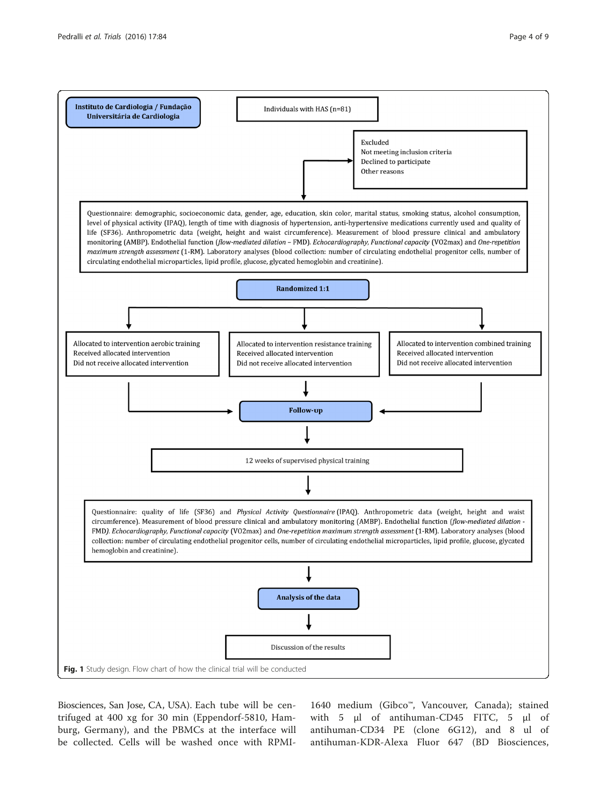

Biosciences, San Jose, CA, USA). Each tube will be centrifuged at 400 xg for 30 min (Eppendorf-5810, Hamburg, Germany), and the PBMCs at the interface will be collected. Cells will be washed once with RPMI-

1640 medium (Gibco™, Vancouver, Canada); stained with 5 μl of antihuman-CD45 FITC, 5 μl of antihuman-CD34 PE (clone 6G12), and 8 ul of antihuman-KDR-Alexa Fluor 647 (BD Biosciences,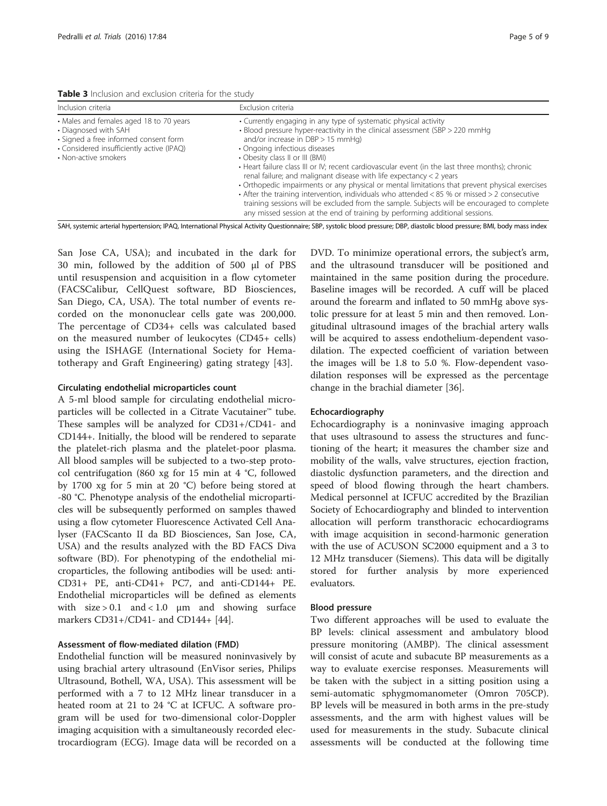Table 3 Inclusion and exclusion criteria for the study

| Inclusion criteria                                                                                                                                                            | Exclusion criteria                                                                                                                                                                                                                                                                                                                                                                                                                                                                                                                                                                                                                                                                                                                                                                                                          |
|-------------------------------------------------------------------------------------------------------------------------------------------------------------------------------|-----------------------------------------------------------------------------------------------------------------------------------------------------------------------------------------------------------------------------------------------------------------------------------------------------------------------------------------------------------------------------------------------------------------------------------------------------------------------------------------------------------------------------------------------------------------------------------------------------------------------------------------------------------------------------------------------------------------------------------------------------------------------------------------------------------------------------|
| • Males and females aged 18 to 70 years<br>• Diagnosed with SAH<br>• Signed a free informed consent form<br>• Considered insufficiently active (IPAQ)<br>• Non-active smokers | • Currently engaging in any type of systematic physical activity<br>• Blood pressure hyper-reactivity in the clinical assessment (SBP > 220 mmHg<br>and/or increase in $DBP > 15$ mmHg)<br>• Ongoing infectious diseases<br>• Obesity class II or III (BMI)<br>• Heart failure class III or IV; recent cardiovascular event (in the last three months); chronic<br>renal failure; and malignant disease with life expectancy < 2 years<br>• Orthopedic impairments or any physical or mental limitations that prevent physical exercises<br>• After the training intervention, individuals who attended $<$ 85 % or missed $>$ 2 consecutive<br>training sessions will be excluded from the sample. Subjects will be encouraged to complete<br>any missed session at the end of training by performing additional sessions. |

SAH, systemic arterial hypertension; IPAQ, International Physical Activity Questionnaire; SBP, systolic blood pressure; DBP, diastolic blood pressure; BMI, body mass index

San Jose CA, USA); and incubated in the dark for 30 min, followed by the addition of 500 μl of PBS until resuspension and acquisition in a flow cytometer (FACSCalibur, CellQuest software, BD Biosciences, San Diego, CA, USA). The total number of events recorded on the mononuclear cells gate was 200,000. The percentage of CD34+ cells was calculated based on the measured number of leukocytes (CD45+ cells) using the ISHAGE (International Society for Hematotherapy and Graft Engineering) gating strategy [43].

#### Circulating endothelial microparticles count

A 5-ml blood sample for circulating endothelial microparticles will be collected in a Citrate Vacutainer™ tube. These samples will be analyzed for CD31+/CD41- and CD144+. Initially, the blood will be rendered to separate the platelet-rich plasma and the platelet-poor plasma. All blood samples will be subjected to a two-step protocol centrifugation (860 xg for 15 min at 4 °C, followed by 1700 xg for 5 min at 20 °C) before being stored at -80 °C. Phenotype analysis of the endothelial microparticles will be subsequently performed on samples thawed using a flow cytometer Fluorescence Activated Cell Analyser (FACScanto II da BD Biosciences, San Jose, CA, USA) and the results analyzed with the BD FACS Diva software (BD). For phenotyping of the endothelial microparticles, the following antibodies will be used: anti-CD31+ PE, anti-CD41+ PC7, and anti-CD144+ PE. Endothelial microparticles will be defined as elements with  $size > 0.1$  and  $< 1.0$   $\mu$ m and showing surface markers CD31+/CD41- and CD144+ [44].

#### Assessment of flow-mediated dilation (FMD)

Endothelial function will be measured noninvasively by using brachial artery ultrasound (EnVisor series, Philips Ultrasound, Bothell, WA, USA). This assessment will be performed with a 7 to 12 MHz linear transducer in a heated room at 21 to 24 °C at ICFUC. A software program will be used for two-dimensional color-Doppler imaging acquisition with a simultaneously recorded electrocardiogram (ECG). Image data will be recorded on a DVD. To minimize operational errors, the subject's arm, and the ultrasound transducer will be positioned and maintained in the same position during the procedure. Baseline images will be recorded. A cuff will be placed around the forearm and inflated to 50 mmHg above systolic pressure for at least 5 min and then removed. Longitudinal ultrasound images of the brachial artery walls will be acquired to assess endothelium-dependent vasodilation. The expected coefficient of variation between the images will be 1.8 to 5.0 %. Flow-dependent vasodilation responses will be expressed as the percentage change in the brachial diameter [36].

#### Echocardiography

Echocardiography is a noninvasive imaging approach that uses ultrasound to assess the structures and functioning of the heart; it measures the chamber size and mobility of the walls, valve structures, ejection fraction, diastolic dysfunction parameters, and the direction and speed of blood flowing through the heart chambers. Medical personnel at ICFUC accredited by the Brazilian Society of Echocardiography and blinded to intervention allocation will perform transthoracic echocardiograms with image acquisition in second-harmonic generation with the use of ACUSON SC2000 equipment and a 3 to 12 MHz transducer (Siemens). This data will be digitally stored for further analysis by more experienced evaluators.

#### Blood pressure

Two different approaches will be used to evaluate the BP levels: clinical assessment and ambulatory blood pressure monitoring (AMBP). The clinical assessment will consist of acute and subacute BP measurements as a way to evaluate exercise responses. Measurements will be taken with the subject in a sitting position using a semi-automatic sphygmomanometer (Omron 705CP). BP levels will be measured in both arms in the pre-study assessments, and the arm with highest values will be used for measurements in the study. Subacute clinical assessments will be conducted at the following time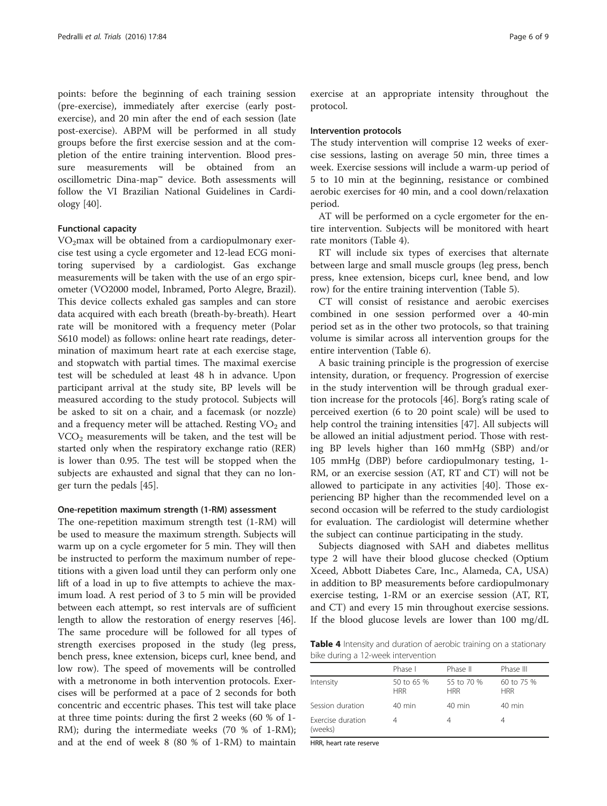points: before the beginning of each training session (pre-exercise), immediately after exercise (early postexercise), and 20 min after the end of each session (late post-exercise). ABPM will be performed in all study groups before the first exercise session and at the completion of the entire training intervention. Blood pressure measurements will be obtained from an oscillometric Dina-map™ device. Both assessments will follow the VI Brazilian National Guidelines in Cardiology [40].

#### Functional capacity

 $VO<sub>2</sub>$ max will be obtained from a cardiopulmonary exercise test using a cycle ergometer and 12-lead ECG monitoring supervised by a cardiologist. Gas exchange measurements will be taken with the use of an ergo spirometer (VO2000 model, Inbramed, Porto Alegre, Brazil). This device collects exhaled gas samples and can store data acquired with each breath (breath-by-breath). Heart rate will be monitored with a frequency meter (Polar S610 model) as follows: online heart rate readings, determination of maximum heart rate at each exercise stage, and stopwatch with partial times. The maximal exercise test will be scheduled at least 48 h in advance. Upon participant arrival at the study site, BP levels will be measured according to the study protocol. Subjects will be asked to sit on a chair, and a facemask (or nozzle) and a frequency meter will be attached. Resting  $VO<sub>2</sub>$  and  $VCO<sub>2</sub>$  measurements will be taken, and the test will be started only when the respiratory exchange ratio (RER) is lower than 0.95. The test will be stopped when the subjects are exhausted and signal that they can no longer turn the pedals [45].

#### One-repetition maximum strength (1-RM) assessment

The one-repetition maximum strength test (1-RM) will be used to measure the maximum strength. Subjects will warm up on a cycle ergometer for 5 min. They will then be instructed to perform the maximum number of repetitions with a given load until they can perform only one lift of a load in up to five attempts to achieve the maximum load. A rest period of 3 to 5 min will be provided between each attempt, so rest intervals are of sufficient length to allow the restoration of energy reserves [46]. The same procedure will be followed for all types of strength exercises proposed in the study (leg press, bench press, knee extension, biceps curl, knee bend, and low row). The speed of movements will be controlled with a metronome in both intervention protocols. Exercises will be performed at a pace of 2 seconds for both concentric and eccentric phases. This test will take place at three time points: during the first 2 weeks (60 % of 1- RM); during the intermediate weeks (70 % of 1-RM); and at the end of week 8 (80 % of 1-RM) to maintain exercise at an appropriate intensity throughout the protocol.

#### Intervention protocols

The study intervention will comprise 12 weeks of exercise sessions, lasting on average 50 min, three times a week. Exercise sessions will include a warm-up period of 5 to 10 min at the beginning, resistance or combined aerobic exercises for 40 min, and a cool down/relaxation period.

AT will be performed on a cycle ergometer for the entire intervention. Subjects will be monitored with heart rate monitors (Table 4).

RT will include six types of exercises that alternate between large and small muscle groups (leg press, bench press, knee extension, biceps curl, knee bend, and low row) for the entire training intervention (Table 5).

CT will consist of resistance and aerobic exercises combined in one session performed over a 40-min period set as in the other two protocols, so that training volume is similar across all intervention groups for the entire intervention (Table 6).

A basic training principle is the progression of exercise intensity, duration, or frequency. Progression of exercise in the study intervention will be through gradual exertion increase for the protocols [46]. Borg's rating scale of perceived exertion (6 to 20 point scale) will be used to help control the training intensities [47]. All subjects will be allowed an initial adjustment period. Those with resting BP levels higher than 160 mmHg (SBP) and/or 105 mmHg (DBP) before cardiopulmonary testing, 1- RM, or an exercise session (AT, RT and CT) will not be allowed to participate in any activities [40]. Those experiencing BP higher than the recommended level on a second occasion will be referred to the study cardiologist for evaluation. The cardiologist will determine whether the subject can continue participating in the study.

Subjects diagnosed with SAH and diabetes mellitus type 2 will have their blood glucose checked (Optium Xceed, Abbott Diabetes Care, Inc., Alameda, CA, USA) in addition to BP measurements before cardiopulmonary exercise testing, 1-RM or an exercise session (AT, RT, and CT) and every 15 min throughout exercise sessions. If the blood glucose levels are lower than 100 mg/dL

Table 4 Intensity and duration of aerobic training on a stationary bike during a 12-week intervention

|                              | Phase I                  | Phase II                 | Phase III                |
|------------------------------|--------------------------|--------------------------|--------------------------|
| Intensity                    | 50 to 65 %<br><b>HRR</b> | 55 to 70 %<br><b>HRR</b> | 60 to 75 %<br><b>HRR</b> |
| Session duration             | $40 \text{ min}$         | $40 \text{ min}$         | 40 min                   |
| Exercise duration<br>(weeks) | 4                        |                          | 4                        |

HRR, heart rate reserve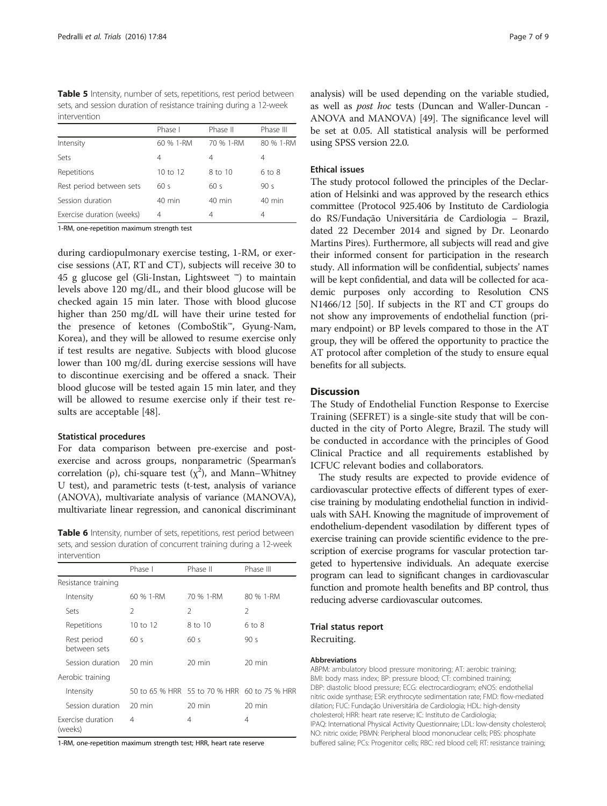Table 5 Intensity, number of sets, repetitions, rest period between sets, and session duration of resistance training during a 12-week intervention

|                           | Phase I      | Phase II  | Phase III  |
|---------------------------|--------------|-----------|------------|
| Intensity                 | 60 % 1-RM    | 70 % 1-RM | 80 % 1-RM  |
| Sets                      | 4            | 4         | 4          |
| Repetitions               | $10$ to $12$ | 8 to 10   | $6$ to $8$ |
| Rest period between sets  | 60s          | 60s       | 90 $s$     |
| Session duration          | $40$ min     | 40 min    | $40$ min   |
| Exercise duration (weeks) | 4            | 4         | 4          |

1-RM, one-repetition maximum strength test

during cardiopulmonary exercise testing, 1-RM, or exercise sessions (AT, RT and CT), subjects will receive 30 to 45 g glucose gel (Gli-Instan, Lightsweet ™) to maintain levels above 120 mg/dL, and their blood glucose will be checked again 15 min later. Those with blood glucose higher than 250 mg/dL will have their urine tested for the presence of ketones (ComboStik™, Gyung-Nam, Korea), and they will be allowed to resume exercise only if test results are negative. Subjects with blood glucose lower than 100 mg/dL during exercise sessions will have to discontinue exercising and be offered a snack. Their blood glucose will be tested again 15 min later, and they will be allowed to resume exercise only if their test results are acceptable [48].

#### Statistical procedures

For data comparison between pre-exercise and postexercise and across groups, nonparametric (Spearman's correlation ( $\rho$ ), chi-square test ( $\chi^2$ ), and Mann–Whitney U test), and parametric tests (t-test, analysis of variance (ANOVA), multivariate analysis of variance (MANOVA), multivariate linear regression, and canonical discriminant

Table 6 Intensity, number of sets, repetitions, rest period between sets, and session duration of concurrent training during a 12-week intervention

|                              | Phase I          | Phase II                                     | Phase III        |
|------------------------------|------------------|----------------------------------------------|------------------|
| Resistance training          |                  |                                              |                  |
| Intensity                    | 60 % 1-RM        | 70 % 1-RM                                    | 80 % 1-RM        |
| Sets                         | 2                | 2                                            | 2                |
| Repetitions                  | 10 to 12         | 8 to 10                                      | $6$ to $8$       |
| Rest period<br>between sets  | 60 s             | 60s                                          | 90 <sub>s</sub>  |
| Session duration             | $20 \text{ min}$ | $20 \text{ min}$                             | $20 \text{ min}$ |
| Aerobic training             |                  |                                              |                  |
| Intensity                    |                  | 50 to 65 % HRR 55 to 70 % HRR 60 to 75 % HRR |                  |
| Session duration             | $20 \text{ min}$ | $20 \text{ min}$                             | $20 \text{ min}$ |
| Exercise duration<br>(weeks) | 4                | 4                                            | 4                |

1-RM, one-repetition maximum strength test; HRR, heart rate reserve

analysis) will be used depending on the variable studied, as well as post hoc tests (Duncan and Waller-Duncan - ANOVA and MANOVA) [49]. The significance level will be set at 0.05. All statistical analysis will be performed using SPSS version 22.0.

#### Ethical issues

The study protocol followed the principles of the Declaration of Helsinki and was approved by the research ethics committee (Protocol 925.406 by Instituto de Cardiologia do RS/Fundação Universitária de Cardiologia – Brazil, dated 22 December 2014 and signed by Dr. Leonardo Martins Pires). Furthermore, all subjects will read and give their informed consent for participation in the research study. All information will be confidential, subjects' names will be kept confidential, and data will be collected for academic purposes only according to Resolution CNS N1466/12 [50]. If subjects in the RT and CT groups do not show any improvements of endothelial function (primary endpoint) or BP levels compared to those in the AT group, they will be offered the opportunity to practice the AT protocol after completion of the study to ensure equal benefits for all subjects.

#### **Discussion**

The Study of Endothelial Function Response to Exercise Training (SEFRET) is a single-site study that will be conducted in the city of Porto Alegre, Brazil. The study will be conducted in accordance with the principles of Good Clinical Practice and all requirements established by ICFUC relevant bodies and collaborators.

The study results are expected to provide evidence of cardiovascular protective effects of different types of exercise training by modulating endothelial function in individuals with SAH. Knowing the magnitude of improvement of endothelium-dependent vasodilation by different types of exercise training can provide scientific evidence to the prescription of exercise programs for vascular protection targeted to hypertensive individuals. An adequate exercise program can lead to significant changes in cardiovascular function and promote health benefits and BP control, thus reducing adverse cardiovascular outcomes.

# Trial status report

Recruiting.

#### Abbreviations

ABPM: ambulatory blood pressure monitoring; AT: aerobic training; BMI: body mass index; BP: pressure blood; CT: combined training; DBP: diastolic blood pressure; ECG: electrocardiogram; eNOS: endothelial nitric oxide synthase; ESR: erythrocyte sedimentation rate; FMD: flow-mediated dilation; FUC: Fundação Universitária de Cardiologia; HDL: high-density cholesterol; HRR: heart rate reserve; IC: Instituto de Cardiologia; IPAQ: International Physical Activity Questionnaire; LDL: low-density cholesterol; NO: nitric oxide; PBMN: Peripheral blood mononuclear cells; PBS: phosphate buffered saline; PCs: Progenitor cells; RBC: red blood cell; RT: resistance training;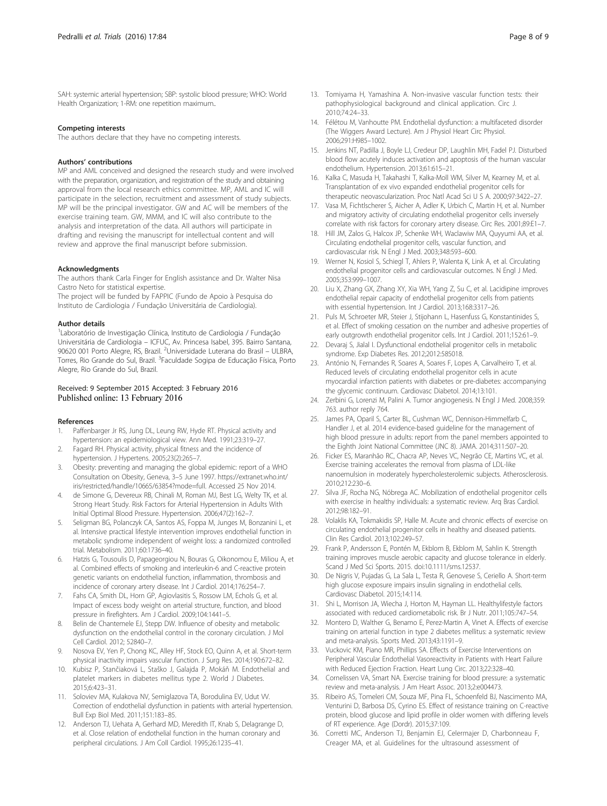SAH: systemic arterial hypertension; SBP: systolic blood pressure; WHO: World Health Organization; 1-RM: one repetition maximum..

#### Competing interests

The authors declare that they have no competing interests.

#### Authors' contributions

MP and AML conceived and designed the research study and were involved with the preparation, organization, and registration of the study and obtaining approval from the local research ethics committee. MP, AML and IC will participate in the selection, recruitment and assessment of study subjects. MP will be the principal investigator. GW and AC will be members of the exercise training team. GW, MMM, and IC will also contribute to the analysis and interpretation of the data. All authors will participate in drafting and revising the manuscript for intellectual content and will review and approve the final manuscript before submission.

#### Acknowledgments

The authors thank Carla Finger for English assistance and Dr. Walter Nisa Castro Neto for statistical expertise.

The project will be funded by FAPPIC (Fundo de Apoio à Pesquisa do Instituto de Cardiologia / Fundação Universitária de Cardiologia).

#### Author details

<sup>1</sup> Laboratório de Investigação Clínica, Instituto de Cardiologia / Fundação Universitária de Cardiologia – ICFUC, Av. Princesa Isabel, 395. Bairro Santana, 90620 001 Porto Alegre, RS, Brazil. <sup>2</sup>Universidade Luterana do Brasil – ULBRA, Torres, Rio Grande do Sul, Brazil. <sup>3</sup>Faculdade Sogipa de Educação Física, Porto Alegre, Rio Grande do Sul, Brazil.

#### Received: 9 September 2015 Accepted: 3 February 2016 Published online: 13 February 2016

#### References

- 1. Paffenbarger Jr RS, Jung DL, Leung RW, Hyde RT. Physical activity and hypertension: an epidemiological view. Ann Med. 1991;23:319–27.
- 2. Fagard RH. Physical activity, physical fitness and the incidence of hypertension. J Hypertens. 2005;23(2):265–7.
- 3. Obesity: preventing and managing the global epidemic: report of a WHO Consultation on Obesity, Geneva, 3–5 June 1997. https://extranet.who.int/ iris/restricted/handle/10665/63854?mode=full. Accessed 25 Nov 2014.
- 4. de Simone G, Devereux RB, Chinali M, Roman MJ, Best LG, Welty TK, et al. Strong Heart Study. Risk Factors for Arterial Hypertension in Adults With Initial Optimal Blood Pressure. Hypertension. 2006;47(2):162–7.
- 5. Seligman BG, Polanczyk CA, Santos AS, Foppa M, Junges M, Bonzanini L, et al. Intensive practical lifestyle intervention improves endothelial function in metabolic syndrome independent of weight loss: a randomized controlled trial. Metabolism. 2011;60:1736–40.
- 6. Hatzis G, Tousoulis D, Papageorgiou N, Bouras G, Oikonomou E, Miliou A, et al. Combined effects of smoking and interleukin-6 and C-reactive protein genetic variants on endothelial function, inflammation, thrombosis and incidence of coronary artery disease. Int J Cardiol. 2014;176:254–7.
- 7. Fahs CA, Smith DL, Horn GP, Agiovlasitis S, Rossow LM, Echols G, et al. Impact of excess body weight on arterial structure, function, and blood pressure in firefighters. Am J Cardiol. 2009;104:1441–5.
- Belin de Chantemele EJ, Stepp DW. Influence of obesity and metabolic dysfunction on the endothelial control in the coronary circulation. J Mol Cell Cardiol. 2012; 52840–7.
- 9. Nosova EV, Yen P, Chong KC, Alley HF, Stock EO, Quinn A, et al. Short-term physical inactivity impairs vascular function. J Surg Res. 2014;190:672–82.
- 10. Kubisz P, Stančiaková L, Staško J, Galajda P, Mokáň M. Endothelial and platelet markers in diabetes mellitus type 2. World J Diabetes. 2015;6:423–31.
- 11. Soloviev MA, Kulakova NV, Semiglazova TA, Borodulina EV, Udut VV. Correction of endothelial dysfunction in patients with arterial hypertension. Bull Exp Biol Med. 2011;151:183–85.
- 12. Anderson TJ, Uehata A, Gerhard MD, Meredith IT, Knab S, Delagrange D, et al. Close relation of endothelial function in the human coronary and peripheral circulations. J Am Coll Cardiol. 1995;26:1235–41.
- 13. Tomiyama H, Yamashina A. Non-invasive vascular function tests: their pathophysiological background and clinical application. Circ J. 2010;74:24–33.
- 14. Félétou M, Vanhoutte PM. Endothelial dysfunction: a multifaceted disorder (The Wiggers Award Lecture). Am J Physiol Heart Circ Physiol. 2006;291:H985–1002.
- 15. Jenkins NT, Padilla J, Boyle LJ, Credeur DP, Laughlin MH, Fadel PJ. Disturbed blood flow acutely induces activation and apoptosis of the human vascular endothelium. Hypertension. 2013;61:615–21.
- 16. Kalka C, Masuda H, Takahashi T, Kalka-Moll WM, Silver M, Kearney M, et al. Transplantation of ex vivo expanded endothelial progenitor cells for therapeutic neovascularization. Proc Natl Acad Sci U S A. 2000;97:3422–27.
- 17. Vasa M, Fichtlscherer S, Aicher A, Adler K, Urbich C, Martin H, et al. Number and migratory activity of circulating endothelial progenitor cells inversely correlate with risk factors for coronary artery disease. Circ Res. 2001;89:E1–7.
- 18. Hill JM, Zalos G, Halcox JP, Schenke WH, Waclawiw MA, Quyyumi AA, et al. Circulating endothelial progenitor cells, vascular function, and cardiovascular risk. N Engl J Med. 2003;348:593–600.
- 19. Werner N, Kosiol S, Schiegl T, Ahlers P, Walenta K, Link A, et al. Circulating endothelial progenitor cells and cardiovascular outcomes. N Engl J Med. 2005;353:999–1007.
- 20. Liu X, Zhang GX, Zhang XY, Xia WH, Yang Z, Su C, et al. Lacidipine improves endothelial repair capacity of endothelial progenitor cells from patients with essential hypertension. Int J Cardiol. 2013;168:3317–26.
- 21. Puls M, Schroeter MR, Steier J, Stijohann L, Hasenfuss G, Konstantinides S, et al. Effect of smoking cessation on the number and adhesive properties of early outgrowth endothelial progenitor cells. Int J Cardiol. 2011;152:61–9.
- 22. Devaraj S, Jialal I. Dysfunctional endothelial progenitor cells in metabolic syndrome. Exp Diabetes Res. 2012;2012:585018.
- 23. António N, Fernandes R, Soares A, Soares F, Lopes A, Carvalheiro T, et al. Reduced levels of circulating endothelial progenitor cells in acute myocardial infarction patients with diabetes or pre-diabetes: accompanying the glycemic continuum. Cardiovasc Diabetol. 2014;13:101.
- 24. Zerbini G, Lorenzi M, Palini A. Tumor angiogenesis. N Engl J Med. 2008;359: 763. author reply 764.
- 25. James PA, Oparil S, Carter BL, Cushman WC, Dennison-Himmelfarb C, Handler J, et al. 2014 evidence-based guideline for the management of high blood pressure in adults: report from the panel members appointed to the Eighth Joint National Committee (JNC 8). JAMA. 2014;311:507–20.
- 26. Ficker ES, Maranhão RC, Chacra AP, Neves VC, Negrão CE, Martins VC, et al. Exercise training accelerates the removal from plasma of LDL-like nanoemulsion in moderately hypercholesterolemic subjects. Atherosclerosis. 2010;212:230–6.
- 27. Silva JF, Rocha NG, Nóbrega AC. Mobilization of endothelial progenitor cells with exercise in healthy individuals: a systematic review. Arq Bras Cardiol. 2012;98:182–91.
- 28. Volaklis KA, Tokmakidis SP, Halle M. Acute and chronic effects of exercise on circulating endothelial progenitor cells in healthy and diseased patients. Clin Res Cardiol. 2013;102:249–57.
- 29. Frank P, Andersson E, Pontén M, Ekblom B, Ekblom M, Sahlin K. Strength training improves muscle aerobic capacity and glucose tolerance in elderly. Scand J Med Sci Sports. 2015. doi:10.1111/sms.12537.
- 30. De Nigris V, Pujadas G, La Sala L, Testa R, Genovese S, Ceriello A. Short-term high glucose exposure impairs insulin signaling in endothelial cells. Cardiovasc Diabetol. 2015;14:114.
- 31. Shi L, Morrison JA, Wiecha J, Horton M, Hayman LL. Healthylifestyle factors associated with reduced cardiometabolic risk. Br J Nutr. 2011;105:747–54.
- 32. Montero D, Walther G, Benamo E, Perez-Martin A, Vinet A. Effects of exercise training on arterial function in type 2 diabetes mellitus: a systematic review and meta-analysis. Sports Med. 2013;43:1191–9.
- 33. Vuckovic KM, Piano MR, Phillips SA. Effects of Exercise Interventions on Peripheral Vascular Endothelial Vasoreactivity in Patients with Heart Failure with Reduced Ejection Fraction. Heart Lung Circ. 2013;22:328–40.
- 34. Cornelissen VA, Smart NA. Exercise training for blood pressure: a systematic review and meta-analysis. J Am Heart Assoc. 2013;2:e004473.
- 35. Ribeiro AS, Tomeleri CM, Souza MF, Pina FL, Schoenfeld BJ, Nascimento MA, Venturini D, Barbosa DS, Cyrino ES. Effect of resistance training on C-reactive protein, blood glucose and lipid profile in older women with differing levels of RT experience. Age (Dordr). 2015;37:109.
- 36. Corretti MC, Anderson TJ, Benjamin EJ, Celermajer D, Charbonneau F, Creager MA, et al. Guidelines for the ultrasound assessment of